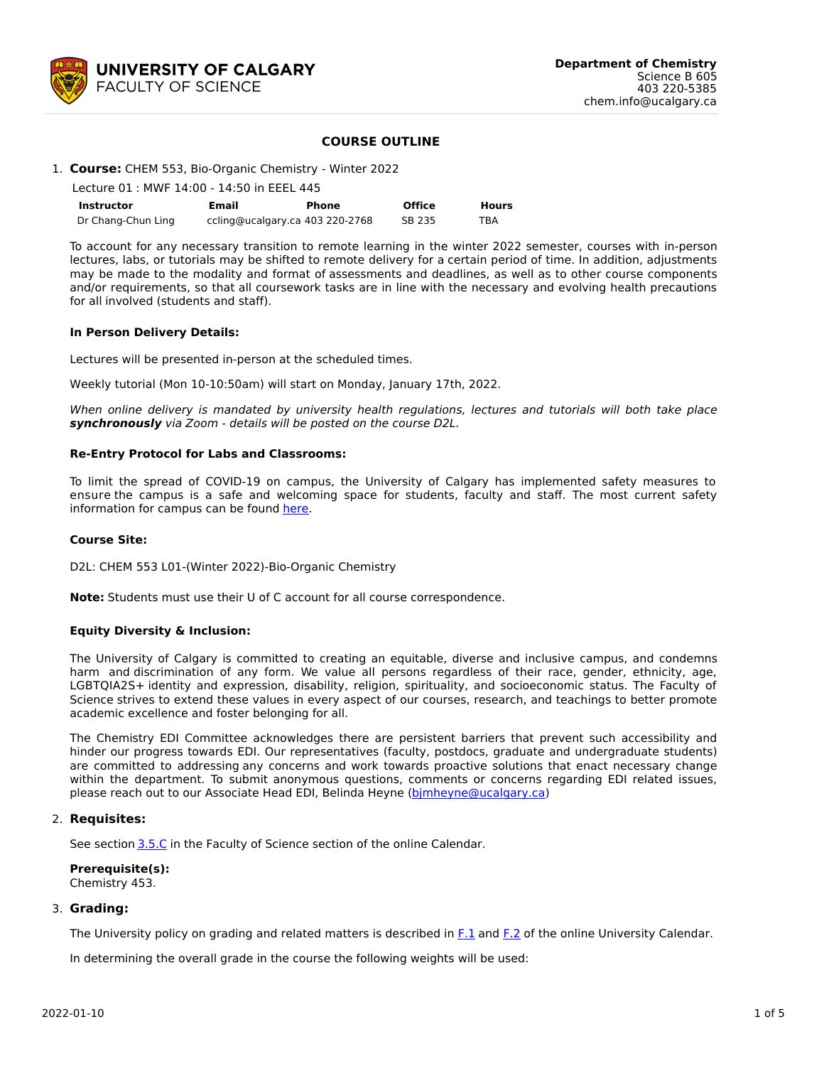

## **COURSE OUTLINE**

## 1. **Course:** CHEM 553, Bio-Organic Chemistry - Winter 2022

|                    | Lecture 01: MWF 14:00 - 14:50 in EEEL 445 |                                 |               |              |  |  |  |  |  |  |
|--------------------|-------------------------------------------|---------------------------------|---------------|--------------|--|--|--|--|--|--|
| <b>Instructor</b>  | Email                                     | Phone                           | <b>Office</b> | <b>Hours</b> |  |  |  |  |  |  |
| Dr Chang-Chun Ling |                                           | ccling@ucalgary.ca 403 220-2768 | SB 235        | TBA          |  |  |  |  |  |  |

To account for any necessary transition to remote learning in the winter 2022 semester, courses with in-person lectures, labs, or tutorials may be shifted to remote delivery for a certain period of time. In addition, adjustments may be made to the modality and format of assessments and deadlines, as well as to other course components and/or requirements, so that all coursework tasks are in line with the necessary and evolving health precautions for all involved (students and staff).

### **In Person Delivery Details:**

Lectures will be presented in-person at the scheduled times.

Weekly tutorial (Mon 10-10:50am) will start on Monday, January 17th, 2022.

When online delivery is mandated by university health regulations, lectures and tutorials will both take place **synchronously** via Zoom - details will be posted on the course D2L.

### **Re-Entry Protocol for Labs and Classrooms:**

To limit the spread of COVID-19 on campus, the University of Calgary has implemented safety measures to ensure the campus is a safe and welcoming space for students, faculty and staff. The most current safety information for campus can be found [here](https://www.ucalgary.ca/risk/emergency-management/covid-19-response/return-campus-safety).

### **Course Site:**

D2L: CHEM 553 L01-(Winter 2022)-Bio-Organic Chemistry

**Note:** Students must use their U of C account for all course correspondence.

### **Equity Diversity & Inclusion:**

The University of Calgary is committed to creating an equitable, diverse and inclusive campus, and condemns harm and discrimination of any form. We value all persons regardless of their race, gender, ethnicity, age, LGBTQIA2S+ identity and expression, disability, religion, spirituality, and socioeconomic status. The Faculty of Science strives to extend these values in every aspect of our courses, research, and teachings to better promote academic excellence and foster belonging for all.

The Chemistry EDI Committee acknowledges there are persistent barriers that prevent such accessibility and hinder our progress towards EDI. Our representatives (faculty, postdocs, graduate and undergraduate students) are committed to addressing any concerns and work towards proactive solutions that enact necessary change within the department. To submit anonymous questions, comments or concerns regarding EDI related issues, please reach out to our Associate Head EDI, Belinda Heyne (bimheyne@ucalgary.ca)

### 2. **Requisites:**

See section [3.5.C](http://www.ucalgary.ca/pubs/calendar/current/sc-3-5.html) in the Faculty of Science section of the online Calendar.

**Prerequisite(s):** Chemistry 453.

### 3. **Grading:**

The University policy on grading and related matters is described in [F.1](http://www.ucalgary.ca/pubs/calendar/current/f-1.html) and [F.2](http://www.ucalgary.ca/pubs/calendar/current/f-2.html) of the online University Calendar.

In determining the overall grade in the course the following weights will be used: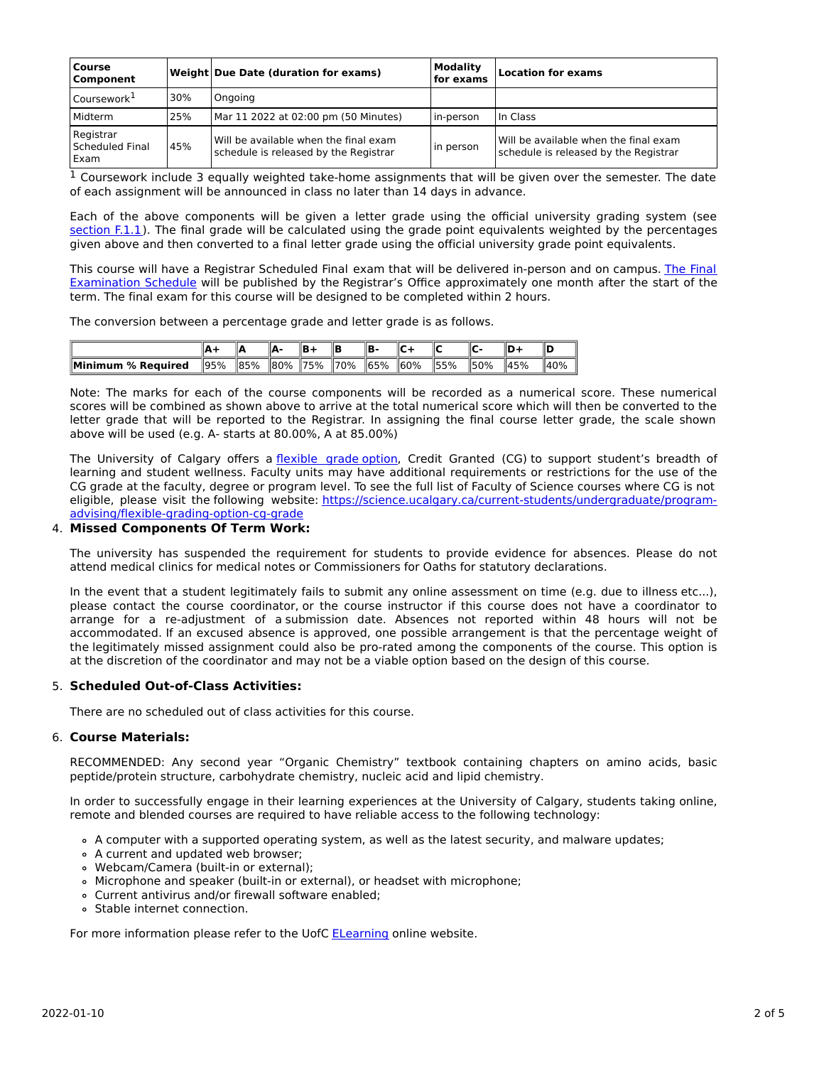| <b>Course</b><br>Component                   |     | Weight Due Date (duration for exams)                                           | <b>Modality</b><br>for exams | <b>Location for exams</b>                                                      |
|----------------------------------------------|-----|--------------------------------------------------------------------------------|------------------------------|--------------------------------------------------------------------------------|
| Coursework <sup>1</sup>                      | 30% | Ongoing                                                                        |                              |                                                                                |
| Midterm                                      | 25% | Mar 11 2022 at 02:00 pm (50 Minutes)                                           | in-person                    | In Class                                                                       |
| Registrar<br>Scheduled Final<br><b>LExam</b> | 45% | Will be available when the final exam<br>schedule is released by the Registrar | in person                    | Will be available when the final exam<br>schedule is released by the Registrar |

 $1$  Coursework include 3 equally weighted take-home assignments that will be given over the semester. The date of each assignment will be announced in class no later than 14 days in advance.

Each of the above components will be given a letter grade using the official university grading system (see [section](https://www.ucalgary.ca/pubs/calendar/current/f-1-1.html) F.1.1). The final grade will be calculated using the grade point equivalents weighted by the percentages given above and then converted to a final letter grade using the official university grade point equivalents.

This course will have a Registrar Scheduled Final exam that will be delivered in-person and on campus. The Final Examination Schedule will be published by the Registrar's Office [approximately](https://www.ucalgary.ca/registrar/exams) one month after the start of the term. The final exam for this course will be designed to be completed within 2 hours.

The conversion between a percentage grade and letter grade is as follows.

|                    |      |                 |         | IR   |                  | IΒ.  | ⊪c   |                 |      |      | lic  |
|--------------------|------|-----------------|---------|------|------------------|------|------|-----------------|------|------|------|
| Minimum % Reauired | 195% | $\parallel$ 85% | $ 80\%$ | 175% | $\frac{1}{2}$ 0% | 165% | 160% | $\frac{155}{6}$ | 150% | 145% | 140% |

Note: The marks for each of the course components will be recorded as a numerical score. These numerical scores will be combined as shown above to arrive at the total numerical score which will then be converted to the letter grade that will be reported to the Registrar. In assigning the final course letter grade, the scale shown above will be used (e.g. A- starts at 80.00%, A at 85.00%)

The University of Calgary offers a [flexible](https://www.ucalgary.ca/pubs/calendar/current/f-1-3.html) grade option, Credit Granted (CG) to support student's breadth of learning and student wellness. Faculty units may have additional requirements or restrictions for the use of the CG grade at the faculty, degree or program level. To see the full list of Faculty of Science courses where CG is not eligible, please visit the following website: [https://science.ucalgary.ca/current-students/undergraduate/program](https://science.ucalgary.ca/current-students/undergraduate/program-advising/flexible-grading-option-cg-grade)advising/flexible-grading-option-cg-grade

## 4. **Missed Components Of Term Work:**

The university has suspended the requirement for students to provide evidence for absences. Please do not attend medical clinics for medical notes or Commissioners for Oaths for statutory declarations.

In the event that a student legitimately fails to submit any online assessment on time (e.g. due to illness etc...), please contact the course coordinator, or the course instructor if this course does not have a coordinator to arrange for a re-adjustment of a submission date. Absences not reported within 48 hours will not be accommodated. If an excused absence is approved, one possible arrangement is that the percentage weight of the legitimately missed assignment could also be pro-rated among the components of the course. This option is at the discretion of the coordinator and may not be a viable option based on the design of this course.

## 5. **Scheduled Out-of-Class Activities:**

There are no scheduled out of class activities for this course.

## 6. **Course Materials:**

RECOMMENDED: Any second year "Organic Chemistry" textbook containing chapters on amino acids, basic peptide/protein structure, carbohydrate chemistry, nucleic acid and lipid chemistry.

In order to successfully engage in their learning experiences at the University of Calgary, students taking online, remote and blended courses are required to have reliable access to the following technology:

- A computer with a supported operating system, as well as the latest security, and malware updates;
- A current and updated web browser;
- Webcam/Camera (built-in or external);
- Microphone and speaker (built-in or external), or headset with microphone;
- Current antivirus and/or firewall software enabled;
- Stable internet connection.

For more information please refer to the UofC **[ELearning](https://elearn.ucalgary.ca/technology-requirements-for-students)** online website.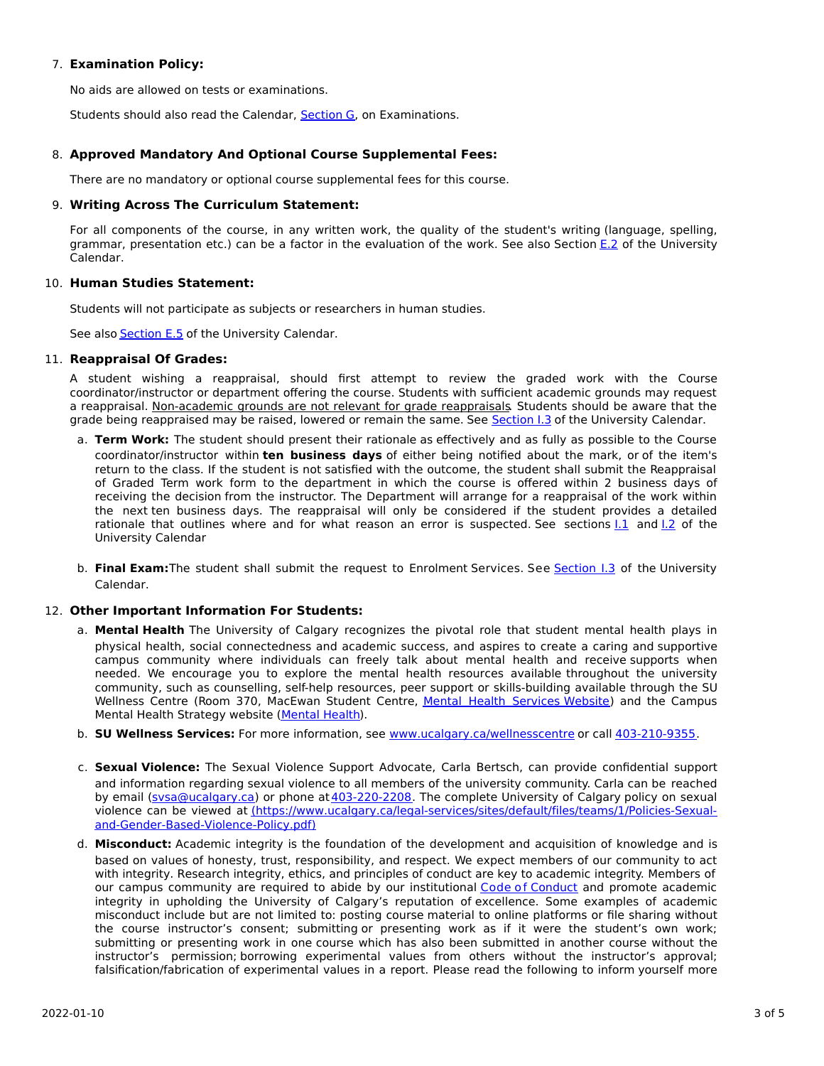## 7. **Examination Policy:**

No aids are allowed on tests or examinations.

Students should also read the Calendar, [Section](http://www.ucalgary.ca/pubs/calendar/current/g.html) G, on Examinations.

## 8. **Approved Mandatory And Optional Course Supplemental Fees:**

There are no mandatory or optional course supplemental fees for this course.

## 9. **Writing Across The Curriculum Statement:**

For all components of the course, in any written work, the quality of the student's writing (language, spelling, grammar, presentation etc.) can be a factor in the evaluation of the work. See also Section [E.2](http://www.ucalgary.ca/pubs/calendar/current/e-2.html) of the University Calendar.

## 10. **Human Studies Statement:**

Students will not participate as subjects or researchers in human studies.

See also **[Section](http://www.ucalgary.ca/pubs/calendar/current/e-5.html) E.5** of the University Calendar.

## 11. **Reappraisal Of Grades:**

A student wishing a reappraisal, should first attempt to review the graded work with the Course coordinator/instructor or department offering the course. Students with sufficient academic grounds may request a reappraisal. Non-academic grounds are not relevant for grade reappraisals. Students should be aware that the grade being reappraised may be raised, lowered or remain the same. See [Section](http://www.ucalgary.ca/pubs/calendar/current/i-3.html) I.3 of the University Calendar.

- a. **Term Work:** The student should present their rationale as effectively and as fully as possible to the Course coordinator/instructor within **ten business days** of either being notified about the mark, or of the item's return to the class. If the student is not satisfied with the outcome, the student shall submit the Reappraisal of Graded Term work form to the department in which the course is offered within 2 business days of receiving the decision from the instructor. The Department will arrange for a reappraisal of the work within the next ten business days. The reappraisal will only be considered if the student provides a detailed rationale that outlines where and for what reason an error is suspected. See sections  $1.1$  and  $1.2$  of the University Calendar
- b. **Final Exam:**The student shall submit the request to Enrolment Services. See [Section](http://www.ucalgary.ca/pubs/calendar/current/i-3.html) I.3 of the University Calendar.

## 12. **Other Important Information For Students:**

- a. **Mental Health** The University of Calgary recognizes the pivotal role that student mental health plays in physical health, social connectedness and academic success, and aspires to create a caring and supportive campus community where individuals can freely talk about mental health and receive supports when needed. We encourage you to explore the mental health resources available throughout the university community, such as counselling, self-help resources, peer support or skills-building available through the SU Wellness Centre (Room 370, MacEwan Student Centre, Mental Health [Services](https://www.ucalgary.ca/wellnesscentre/services/mental-health-services) Website) and the Campus Mental Health Strategy website [\(Mental](http://www.ucalgary.ca/mentalhealth) Health).
- b. **SU Wellness Services:** For more information, see [www.ucalgary.ca/wellnesscentre](http://www.ucalgary.ca/wellnesscentre) or call [403-210-9355.](tel:4032109355)
- c. **Sexual Violence:** The Sexual Violence Support Advocate, Carla Bertsch, can provide confidential support and information regarding sexual violence to all members of the university community. Carla can be reached by email [\(svsa@ucalgary.ca](mailto:svsa@ucalgary.ca)) or phone at [403-220-2208](tel:4032202208). The complete University of Calgary policy on sexual violence can be viewed at [\(https://www.ucalgary.ca/legal-services/sites/default/files/teams/1/Policies-Sexual](https://www.ucalgary.ca/legal-services/sites/default/files/teams/1/Policies-Sexual-and-Gender-Based-Violence-Policy.pdf)and-Gender-Based-Violence-Policy.pdf)
- d. **Misconduct:** Academic integrity is the foundation of the development and acquisition of knowledge and is based on values of honesty, trust, responsibility, and respect. We expect members of our community to act with integrity. Research integrity, ethics, and principles of conduct are key to academic integrity. Members of our campus community are required to abide by our institutional Code of [Conduct](https://www.ucalgary.ca/legal-services/sites/default/files/teams/1/Policies-Code-of-Conduct.pdf) and promote academic integrity in upholding the University of Calgary's reputation of excellence. Some examples of academic misconduct include but are not limited to: posting course material to online platforms or file sharing without the course instructor's consent; submitting or presenting work as if it were the student's own work; submitting or presenting work in one course which has also been submitted in another course without the instructor's permission; borrowing experimental values from others without the instructor's approval; falsification/fabrication of experimental values in a report. Please read the following to inform yourself more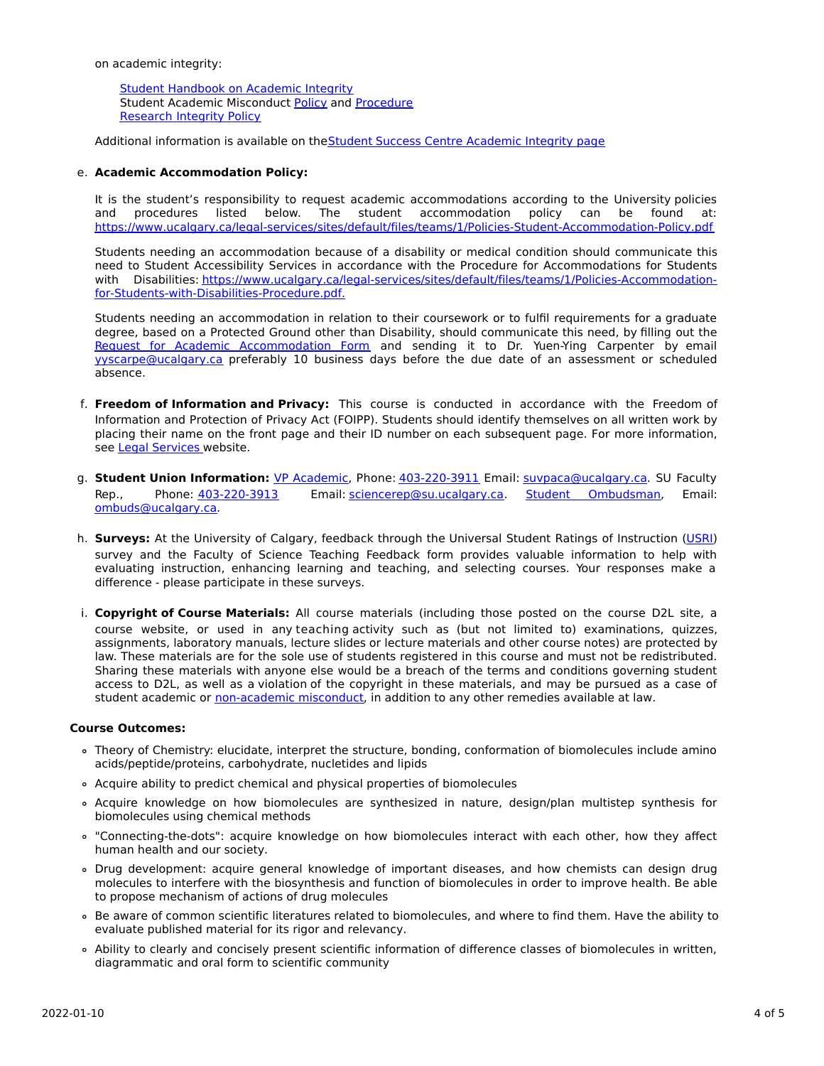on academic integrity:

Student [Handbook](https://www.ucalgary.ca/live-uc-ucalgary-site/sites/default/files/teams/9/AI-Student-handbook-1.pdf) on Academic Integrity Student Academic Misconduct [Policy](https://www.ucalgary.ca/legal-services/sites/default/files/teams/1/Policies-Student-Academic-Misconduct-Policy.pdf) and [Procedure](https://www.ucalgary.ca/legal-services/sites/default/files/teams/1/Policies-Student-Academic-Misconduct-Procedure.pdf) [Research](https://www.ucalgary.ca/legal-services/sites/default/files/teams/1/Policies-Research-Integrity-Policy.pdf) Integrity Policy

Additional information is available on theStudent Success Centre [Academic](https://ucalgary.ca/student-services/student-success/learning/academic-integrity) Integrity page

## e. **Academic Accommodation Policy:**

It is the student's responsibility to request academic accommodations according to the University policies and procedures listed below. The student accommodation policy can be found at: <https://www.ucalgary.ca/legal-services/sites/default/files/teams/1/Policies-Student-Accommodation-Policy.pdf>

Students needing an accommodation because of a disability or medical condition should communicate this need to Student Accessibility Services in accordance with the Procedure for Accommodations for Students with Disabilities: [https://www.ucalgary.ca/legal-services/sites/default/files/teams/1/Policies-Accommodation](https://www.ucalgary.ca/legal-services/sites/default/files/teams/1/Policies-Accommodation-for-Students-with-Disabilities-Procedure.pdf)for-Students-with-Disabilities-Procedure.pdf.

Students needing an accommodation in relation to their coursework or to fulfil requirements for a graduate degree, based on a Protected Ground other than Disability, should communicate this need, by filling out the Request for Academic [Accommodation](https://science.ucalgary.ca/sites/default/files/teams/1/request-accommodation-academic-courses.pdf) Form and sending it to Dr. Yuen-Ying Carpenter by email [yyscarpe@ucalgary.ca](mailto:yyscarpe@ucalgary.ca) preferably 10 business days before the due date of an assessment or scheduled absence.

- f. **Freedom of Information and Privacy:** This course is conducted in accordance with the Freedom of Information and Protection of Privacy Act (FOIPP). Students should identify themselves on all written work by placing their name on the front page and their ID number on each subsequent page. For more information, see Legal [Services](https://www.ucalgary.ca/legal-services/access-information-privacy) website.
- g. **Student Union Information:** VP [Academic](http://www.su.ucalgary.ca/contact), Phone: [403-220-3911](tel:4032203911) Email: [suvpaca@ucalgary.ca](mailto:suvpaca@ucalgary.ca). SU Faculty Rep., Phone: [403-220-3913](tel:4032203913) Email: [sciencerep@su.ucalgary.ca](mailto:sciencerep@su.ucalgary.ca). Student [Ombudsman](https://www.ucalgary.ca/ombuds/), Email: [ombuds@ucalgary.ca](mailto:%20ombuds@ucalgary.ca).
- h. **Surveys:** At the University of Calgary, feedback through the Universal Student Ratings of Instruction [\(USRI](http://www.ucalgary.ca/usri)) survey and the Faculty of Science Teaching Feedback form provides valuable information to help with evaluating instruction, enhancing learning and teaching, and selecting courses. Your responses make a difference - please participate in these surveys.
- i. **Copyright of Course Materials:** All course materials (including those posted on the course D2L site, a course website, or used in any teaching activity such as (but not limited to) examinations, quizzes, assignments, laboratory manuals, lecture slides or lecture materials and other course notes) are protected by law. These materials are for the sole use of students registered in this course and must not be redistributed. Sharing these materials with anyone else would be a breach of the terms and conditions governing student access to D2L, as well as a violation of the copyright in these materials, and may be pursued as a case of student academic or [non-academic](https://www.ucalgary.ca/conduct/policy/non-academic-misconduct-policy) misconduct, in addition to any other remedies available at law.

### **Course Outcomes:**

- Theory of Chemistry: elucidate, interpret the structure, bonding, conformation of biomolecules include amino acids/peptide/proteins, carbohydrate, nucletides and lipids
- Acquire ability to predict chemical and physical properties of biomolecules
- Acquire knowledge on how biomolecules are synthesized in nature, design/plan multistep synthesis for biomolecules using chemical methods
- "Connecting-the-dots": acquire knowledge on how biomolecules interact with each other, how they affect human health and our society.
- Drug development: acquire general knowledge of important diseases, and how chemists can design drug molecules to interfere with the biosynthesis and function of biomolecules in order to improve health. Be able to propose mechanism of actions of drug molecules
- Be aware of common scientific literatures related to biomolecules, and where to find them. Have the ability to evaluate published material for its rigor and relevancy.
- Ability to clearly and concisely present scientific information of difference classes of biomolecules in written, diagrammatic and oral form to scientific community